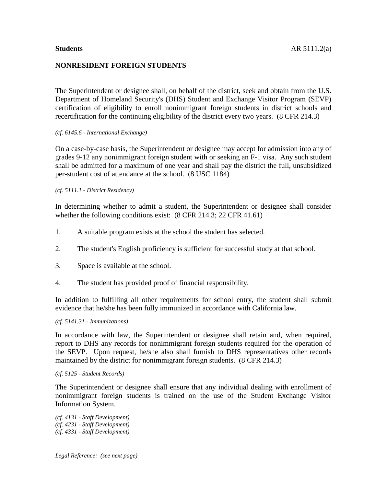The Superintendent or designee shall, on behalf of the district, seek and obtain from the U.S. Department of Homeland Security's (DHS) Student and Exchange Visitor Program (SEVP) certification of eligibility to enroll nonimmigrant foreign students in district schools and recertification for the continuing eligibility of the district every two years. (8 CFR 214.3)

### *(cf. 6145.6 - International Exchange)*

On a case-by-case basis, the Superintendent or designee may accept for admission into any of grades 9-12 any nonimmigrant foreign student with or seeking an F-1 visa. Any such student shall be admitted for a maximum of one year and shall pay the district the full, unsubsidized per-student cost of attendance at the school. (8 USC 1184)

## *(cf. 5111.1 - District Residency)*

In determining whether to admit a student, the Superintendent or designee shall consider whether the following conditions exist: (8 CFR 214.3; 22 CFR 41.61)

- 1. A suitable program exists at the school the student has selected.
- 2. The student's English proficiency is sufficient for successful study at that school.
- 3. Space is available at the school.
- 4. The student has provided proof of financial responsibility.

In addition to fulfilling all other requirements for school entry, the student shall submit evidence that he/she has been fully immunized in accordance with California law.

## *(cf. 5141.31 - Immunizations)*

In accordance with law, the Superintendent or designee shall retain and, when required, report to DHS any records for nonimmigrant foreign students required for the operation of the SEVP. Upon request, he/she also shall furnish to DHS representatives other records maintained by the district for nonimmigrant foreign students. (8 CFR 214.3)

### *(cf. 5125 - Student Records)*

The Superintendent or designee shall ensure that any individual dealing with enrollment of nonimmigrant foreign students is trained on the use of the Student Exchange Visitor Information System.

*(cf. 4131 - Staff Development) (cf. 4231 - Staff Development) (cf. 4331 - Staff Development)*